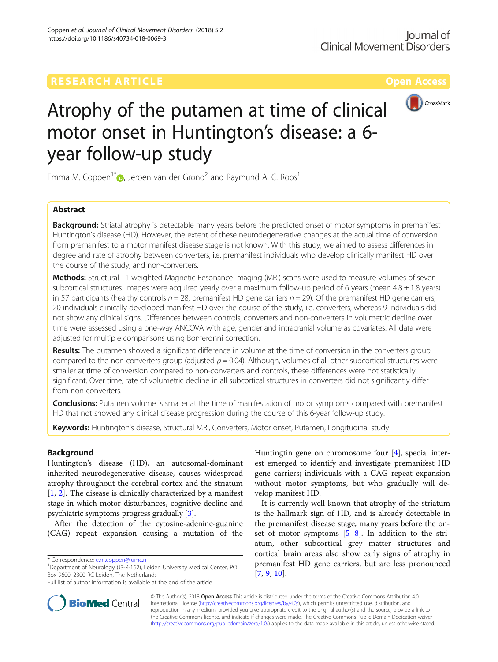

# Atrophy of the putamen at time of clinical motor onset in Huntington's disease: a 6 year follow-up study

Emma M. Coppen<sup>1[\\*](http://orcid.org/0000-0003-3273-3017)</sup> <sub>(b</sub>, Jeroen van der Grond<sup>2</sup> and Raymund A. C. Roos<sup>1</sup>

# Abstract

**Background:** Striatal atrophy is detectable many years before the predicted onset of motor symptoms in premanifest Huntington's disease (HD). However, the extent of these neurodegenerative changes at the actual time of conversion from premanifest to a motor manifest disease stage is not known. With this study, we aimed to assess differences in degree and rate of atrophy between converters, i.e. premanifest individuals who develop clinically manifest HD over the course of the study, and non-converters.

Methods: Structural T1-weighted Magnetic Resonance Imaging (MRI) scans were used to measure volumes of seven subcortical structures. Images were acquired yearly over a maximum follow-up period of 6 years (mean 4.8 ± 1.8 years) in 57 participants (healthy controls  $n = 28$ , premanifest HD gene carriers  $n = 29$ ). Of the premanifest HD gene carriers, 20 individuals clinically developed manifest HD over the course of the study, i.e. converters, whereas 9 individuals did not show any clinical signs. Differences between controls, converters and non-converters in volumetric decline over time were assessed using a one-way ANCOVA with age, gender and intracranial volume as covariates. All data were adjusted for multiple comparisons using Bonferonni correction.

Results: The putamen showed a significant difference in volume at the time of conversion in the converters group compared to the non-converters group (adjusted  $p = 0.04$ ). Although, volumes of all other subcortical structures were smaller at time of conversion compared to non-converters and controls, these differences were not statistically significant. Over time, rate of volumetric decline in all subcortical structures in converters did not significantly differ from non-converters.

**Conclusions:** Putamen volume is smaller at the time of manifestation of motor symptoms compared with premanifest HD that not showed any clinical disease progression during the course of this 6-year follow-up study.

Keywords: Huntington's disease, Structural MRI, Converters, Motor onset, Putamen, Longitudinal study

# Background

Huntington's disease (HD), an autosomal-dominant inherited neurodegenerative disease, causes widespread atrophy throughout the cerebral cortex and the striatum  $[1, 2]$  $[1, 2]$  $[1, 2]$  $[1, 2]$  $[1, 2]$ . The disease is clinically characterized by a manifest stage in which motor disturbances, cognitive decline and psychiatric symptoms progress gradually [\[3](#page-6-0)].

After the detection of the cytosine-adenine-guanine (CAG) repeat expansion causing a mutation of the

\* Correspondence: [e.m.coppen@lumc.nl](mailto:e.m.coppen@lumc.nl) <sup>1</sup>

Department of Neurology (J3-R-162), Leiden University Medical Center, PO Box 9600, 2300 RC Leiden, The Netherlands



It is currently well known that atrophy of the striatum is the hallmark sign of HD, and is already detectable in the premanifest disease stage, many years before the onset of motor symptoms  $[5-8]$  $[5-8]$  $[5-8]$  $[5-8]$ . In addition to the striatum, other subcortical grey matter structures and cortical brain areas also show early signs of atrophy in premanifest HD gene carriers, but are less pronounced [[7,](#page-6-0) [9,](#page-6-0) [10\]](#page-6-0).



© The Author(s). 2018 Open Access This article is distributed under the terms of the Creative Commons Attribution 4.0 International License [\(http://creativecommons.org/licenses/by/4.0/](http://creativecommons.org/licenses/by/4.0/)), which permits unrestricted use, distribution, and reproduction in any medium, provided you give appropriate credit to the original author(s) and the source, provide a link to the Creative Commons license, and indicate if changes were made. The Creative Commons Public Domain Dedication waiver [\(http://creativecommons.org/publicdomain/zero/1.0/](http://creativecommons.org/publicdomain/zero/1.0/)) applies to the data made available in this article, unless otherwise stated.

Full list of author information is available at the end of the article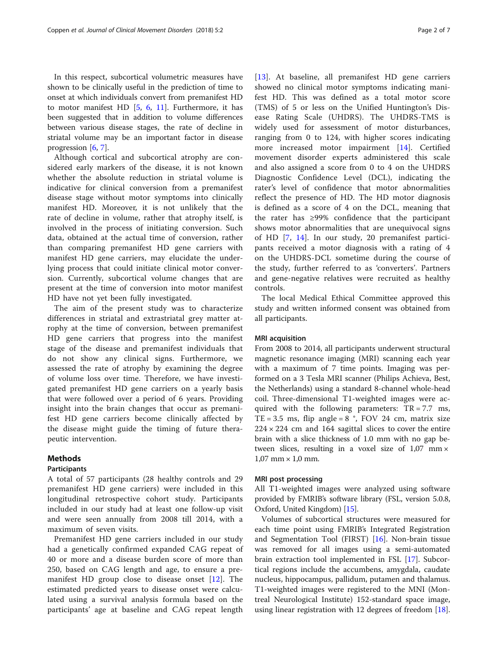In this respect, subcortical volumetric measures have shown to be clinically useful in the prediction of time to onset at which individuals convert from premanifest HD to motor manifest HD  $[5, 6, 11]$  $[5, 6, 11]$  $[5, 6, 11]$  $[5, 6, 11]$  $[5, 6, 11]$  $[5, 6, 11]$ . Furthermore, it has been suggested that in addition to volume differences between various disease stages, the rate of decline in striatal volume may be an important factor in disease progression [\[6](#page-6-0), [7](#page-6-0)].

Although cortical and subcortical atrophy are considered early markers of the disease, it is not known whether the absolute reduction in striatal volume is indicative for clinical conversion from a premanifest disease stage without motor symptoms into clinically manifest HD. Moreover, it is not unlikely that the rate of decline in volume, rather that atrophy itself, is involved in the process of initiating conversion. Such data, obtained at the actual time of conversion, rather than comparing premanifest HD gene carriers with manifest HD gene carriers, may elucidate the underlying process that could initiate clinical motor conversion. Currently, subcortical volume changes that are present at the time of conversion into motor manifest HD have not yet been fully investigated.

The aim of the present study was to characterize differences in striatal and extrastriatal grey matter atrophy at the time of conversion, between premanifest HD gene carriers that progress into the manifest stage of the disease and premanifest individuals that do not show any clinical signs. Furthermore, we assessed the rate of atrophy by examining the degree of volume loss over time. Therefore, we have investigated premanifest HD gene carriers on a yearly basis that were followed over a period of 6 years. Providing insight into the brain changes that occur as premanifest HD gene carriers become clinically affected by the disease might guide the timing of future therapeutic intervention.

# Methods

## Participants

A total of 57 participants (28 healthy controls and 29 premanifest HD gene carriers) were included in this longitudinal retrospective cohort study. Participants included in our study had at least one follow-up visit and were seen annually from 2008 till 2014, with a maximum of seven visits.

Premanifest HD gene carriers included in our study had a genetically confirmed expanded CAG repeat of 40 or more and a disease burden score of more than 250, based on CAG length and age, to ensure a premanifest HD group close to disease onset [\[12](#page-6-0)]. The estimated predicted years to disease onset were calculated using a survival analysis formula based on the participants' age at baseline and CAG repeat length [[13\]](#page-6-0). At baseline, all premanifest HD gene carriers showed no clinical motor symptoms indicating manifest HD. This was defined as a total motor score (TMS) of 5 or less on the Unified Huntington's Disease Rating Scale (UHDRS). The UHDRS-TMS is widely used for assessment of motor disturbances, ranging from 0 to 124, with higher scores indicating more increased motor impairment [[14](#page-6-0)]. Certified movement disorder experts administered this scale and also assigned a score from 0 to 4 on the UHDRS Diagnostic Confidence Level (DCL), indicating the rater's level of confidence that motor abnormalities reflect the presence of HD. The HD motor diagnosis is defined as a score of 4 on the DCL, meaning that the rater has ≥99% confidence that the participant shows motor abnormalities that are unequivocal signs of HD [[7,](#page-6-0) [14](#page-6-0)]. In our study, 20 premanifest participants received a motor diagnosis with a rating of 4 on the UHDRS-DCL sometime during the course of the study, further referred to as 'converters'. Partners and gene-negative relatives were recruited as healthy controls.

The local Medical Ethical Committee approved this study and written informed consent was obtained from all participants.

# MRI acquisition

From 2008 to 2014, all participants underwent structural magnetic resonance imaging (MRI) scanning each year with a maximum of 7 time points. Imaging was performed on a 3 Tesla MRI scanner (Philips Achieva, Best, the Netherlands) using a standard 8-channel whole-head coil. Three-dimensional T1-weighted images were acquired with the following parameters:  $TR = 7.7$  ms, TE = 3.5 ms, flip angle =  $8^\circ$ , FOV 24 cm, matrix size  $224 \times 224$  cm and 164 sagittal slices to cover the entire brain with a slice thickness of 1.0 mm with no gap between slices, resulting in a voxel size of  $1,07$  mm  $\times$  $1,07$  mm  $\times$  1,0 mm.

# MRI post processing

All T1-weighted images were analyzed using software provided by FMRIB's software library (FSL, version 5.0.8, Oxford, United Kingdom) [\[15\]](#page-6-0).

Volumes of subcortical structures were measured for each time point using FMRIB's Integrated Registration and Segmentation Tool (FIRST) [[16\]](#page-6-0). Non-brain tissue was removed for all images using a semi-automated brain extraction tool implemented in FSL [\[17](#page-6-0)]. Subcortical regions include the accumbens, amygdala, caudate nucleus, hippocampus, pallidum, putamen and thalamus. T1-weighted images were registered to the MNI (Montreal Neurological Institute) 152-standard space image, using linear registration with 12 degrees of freedom [\[18](#page-6-0)].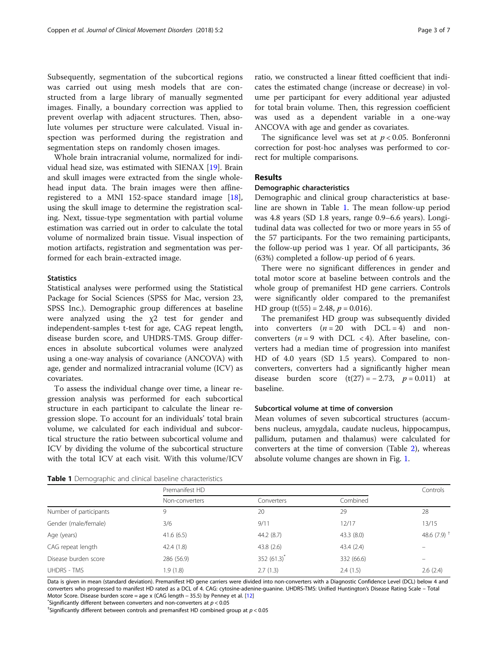Subsequently, segmentation of the subcortical regions was carried out using mesh models that are constructed from a large library of manually segmented images. Finally, a boundary correction was applied to prevent overlap with adjacent structures. Then, absolute volumes per structure were calculated. Visual inspection was performed during the registration and segmentation steps on randomly chosen images.

Whole brain intracranial volume, normalized for individual head size, was estimated with SIENAX [\[19](#page-6-0)]. Brain and skull images were extracted from the single wholehead input data. The brain images were then affineregistered to a MNI 152-space standard image [\[18](#page-6-0)], using the skull image to determine the registration scaling. Next, tissue-type segmentation with partial volume estimation was carried out in order to calculate the total volume of normalized brain tissue. Visual inspection of motion artifacts, registration and segmentation was performed for each brain-extracted image.

# **Statistics**

Statistical analyses were performed using the Statistical Package for Social Sciences (SPSS for Mac, version 23, SPSS Inc.). Demographic group differences at baseline were analyzed using the  $x^2$  test for gender and independent-samples t-test for age, CAG repeat length, disease burden score, and UHDRS-TMS. Group differences in absolute subcortical volumes were analyzed using a one-way analysis of covariance (ANCOVA) with age, gender and normalized intracranial volume (ICV) as covariates.

To assess the individual change over time, a linear regression analysis was performed for each subcortical structure in each participant to calculate the linear regression slope. To account for an individuals' total brain volume, we calculated for each individual and subcortical structure the ratio between subcortical volume and ICV by dividing the volume of the subcortical structure with the total ICV at each visit. With this volume/ICV

ratio, we constructed a linear fitted coefficient that indicates the estimated change (increase or decrease) in volume per participant for every additional year adjusted for total brain volume. Then, this regression coefficient was used as a dependent variable in a one-way ANCOVA with age and gender as covariates.

The significance level was set at  $p < 0.05$ . Bonferonni correction for post-hoc analyses was performed to correct for multiple comparisons.

# Results

# Demographic characteristics

Demographic and clinical group characteristics at baseline are shown in Table 1. The mean follow-up period was 4.8 years (SD 1.8 years, range 0.9–6.6 years). Longitudinal data was collected for two or more years in 55 of the 57 participants. For the two remaining participants, the follow-up period was 1 year. Of all participants, 36 (63%) completed a follow-up period of 6 years.

There were no significant differences in gender and total motor score at baseline between controls and the whole group of premanifest HD gene carriers. Controls were significantly older compared to the premanifest HD group  $(t(55) = 2.48, p = 0.016)$ .

The premanifest HD group was subsequently divided into converters  $(n = 20$  with  $DCL = 4)$  and nonconverters  $(n = 9$  with DCL < 4). After baseline, converters had a median time of progression into manifest HD of 4.0 years (SD 1.5 years). Compared to nonconverters, converters had a significantly higher mean disease burden score  $(t(27) = -2.73, p = 0.011)$  at baseline.

# Subcortical volume at time of conversion

Mean volumes of seven subcortical structures (accumbens nucleus, amygdala, caudate nucleus, hippocampus, pallidum, putamen and thalamus) were calculated for converters at the time of conversion (Table [2](#page-3-0)), whereas absolute volume changes are shown in Fig. [1](#page-4-0).

Table 1 Demographic and clinical baseline characteristics

| - -                    |                |                  |            |                           |  |  |
|------------------------|----------------|------------------|------------|---------------------------|--|--|
|                        | Premanifest HD |                  |            | Controls                  |  |  |
|                        | Non-converters | Converters       | Combined   |                           |  |  |
| Number of participants | 9              | 20               | 29         | 28                        |  |  |
| Gender (male/female)   | 3/6            | 9/11             | 12/17      | 13/15                     |  |  |
| Age (years)            | 41.6(6.5)      | 44.2(8.7)        | 43.3(8.0)  | 48.6 $(7.9)$ <sup>+</sup> |  |  |
| CAG repeat length      | 42.4(1.8)      | 43.8(2.6)        | 43.4(2.4)  |                           |  |  |
| Disease burden score   | 286 (56.9)     | 352 $(61.3)^{*}$ | 332 (66.6) |                           |  |  |
| <b>UHDRS - TMS</b>     | 1.9(1.8)       | 2.7(1.3)         | 2.4(1.5)   | 2.6(2.4)                  |  |  |

Data is given in mean (standard deviation). Premanifest HD gene carriers were divided into non-converters with a Diagnostic Confidence Level (DCL) below 4 and converters who progressed to manifest HD rated as a DCL of 4. CAG: cytosine-adenine-guanine. UHDRS-TMS: Unified Huntington's Disease Rating Scale – Total Motor Score. Disease burden score = age x (CAG length <sup>−</sup> 35.5) by Penney et al. [[12](#page-6-0)] \*

 $\zeta$ Significantly different between converters and non-converters at  $p < 0.05$ 

<sup>+</sup>Significantly different between controls and premanifest HD combined group at  $p < 0.05$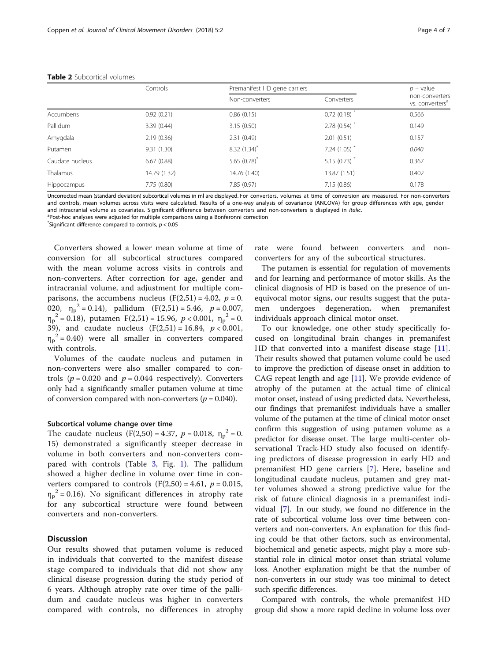|                 | Controls     |                  | Premanifest HD gene carriers |                                               |
|-----------------|--------------|------------------|------------------------------|-----------------------------------------------|
|                 |              | Non-converters   | Converters                   | non-converters<br>vs. converters <sup>a</sup> |
| Accumbens       | 0.92(0.21)   | 0.86(0.15)       | 0.72(0.18)                   | 0.566                                         |
| Pallidum        | 3.39(0.44)   | 3.15(0.50)       | 2.78(0.54)                   | 0.149                                         |
| Amygdala        | 2.19(0.36)   | 2.31(0.49)       | 2.01(0.51)                   | 0.157                                         |
| Putamen         | 9.31(1.30)   | $8.32(1.34)^{*}$ | $7.24(1.05)^*$               | 0.040                                         |
| Caudate nucleus | 6.67(0.88)   | 5.65 $(0.78)^*$  | $5.15(0.73)^*$               | 0.367                                         |
| Thalamus        | 14.79 (1.32) | 14.76 (1.40)     | 13.87 (1.51)                 | 0.402                                         |
| Hippocampus     | 7.75 (0.80)  | 7.85 (0.97)      | 7.15(0.86)                   | 0.178                                         |

#### <span id="page-3-0"></span>Table 2 Subcortical volumes

Uncorrected mean (standard deviation) subcortical volumes in ml are displayed. For converters, volumes at time of conversion are measured. For non-converters and controls, mean volumes across visits were calculated. Results of a one-way analysis of covariance (ANCOVA) for group differences with age, gender and intracranial volume as covariates. Significant difference between converters and non-converters is displayed in Italic.

<sup>a</sup>Post-hoc analyses were adjusted for multiple comparisons using a Bonferonni correction

\*Significant difference compared to controls,  $p < 0.05$ 

Converters showed a lower mean volume at time of conversion for all subcortical structures compared with the mean volume across visits in controls and non-converters. After correction for age, gender and intracranial volume, and adjustment for multiple comparisons, the accumbens nucleus  $(F(2,51) = 4.02, p = 0.$ 020,  $\eta_p^2 = 0.14$ , pallidum  $(F(2.51) = 5.46, p = 0.007,$  $\eta_p^2 = 0.18$ ), putamen F(2,51) = 15.96,  $p < 0.001$ ,  $\eta_p^2 = 0$ . 39), and caudate nucleus  $(F(2,51) = 16.84, p < 0.001,$  $\eta_p^2$  = 0.40) were all smaller in converters compared with controls.

Volumes of the caudate nucleus and putamen in non-converters were also smaller compared to controls ( $p = 0.020$  and  $p = 0.044$  respectively). Converters only had a significantly smaller putamen volume at time of conversion compared with non-converters ( $p = 0.040$ ).

# Subcortical volume change over time

The caudate nucleus  $(F(2,50) = 4.37, p = 0.018, \eta_p^2 = 0.$ 15) demonstrated a significantly steeper decrease in volume in both converters and non-converters compared with controls (Table [3,](#page-5-0) Fig. [1](#page-4-0)). The pallidum showed a higher decline in volume over time in converters compared to controls  $(F(2,50) = 4.61, p = 0.015,$  $\eta_p^2$  = 0.16). No significant differences in atrophy rate for any subcortical structure were found between converters and non-converters.

# **Discussion**

Our results showed that putamen volume is reduced in individuals that converted to the manifest disease stage compared to individuals that did not show any clinical disease progression during the study period of 6 years. Although atrophy rate over time of the pallidum and caudate nucleus was higher in converters compared with controls, no differences in atrophy rate were found between converters and nonconverters for any of the subcortical structures.

The putamen is essential for regulation of movements and for learning and performance of motor skills. As the clinical diagnosis of HD is based on the presence of unequivocal motor signs, our results suggest that the putamen undergoes degeneration, when premanifest individuals approach clinical motor onset.

To our knowledge, one other study specifically focused on longitudinal brain changes in premanifest HD that converted into a manifest disease stage  $[11]$  $[11]$ . Their results showed that putamen volume could be used to improve the prediction of disease onset in addition to CAG repeat length and age  $[11]$  $[11]$ . We provide evidence of atrophy of the putamen at the actual time of clinical motor onset, instead of using predicted data. Nevertheless, our findings that premanifest individuals have a smaller volume of the putamen at the time of clinical motor onset confirm this suggestion of using putamen volume as a predictor for disease onset. The large multi-center observational Track-HD study also focused on identifying predictors of disease progression in early HD and premanifest HD gene carriers [\[7](#page-6-0)]. Here, baseline and longitudinal caudate nucleus, putamen and grey matter volumes showed a strong predictive value for the risk of future clinical diagnosis in a premanifest individual [[7\]](#page-6-0). In our study, we found no difference in the rate of subcortical volume loss over time between converters and non-converters. An explanation for this finding could be that other factors, such as environmental, biochemical and genetic aspects, might play a more substantial role in clinical motor onset than striatal volume loss. Another explanation might be that the number of non-converters in our study was too minimal to detect such specific differences.

Compared with controls, the whole premanifest HD group did show a more rapid decline in volume loss over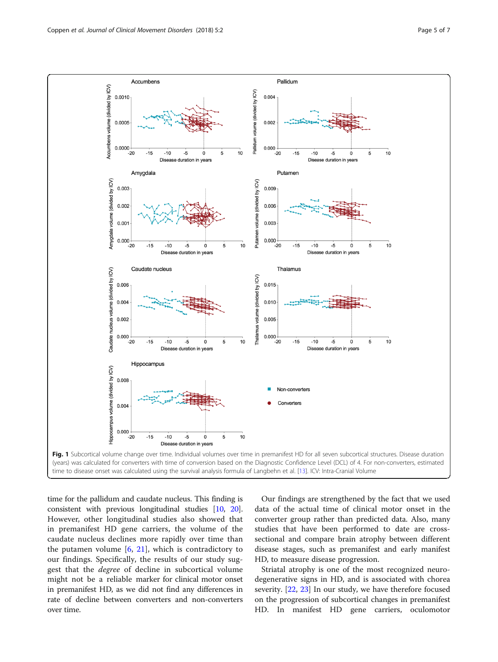<span id="page-4-0"></span>

time for the pallidum and caudate nucleus. This finding is consistent with previous longitudinal studies [[10](#page-6-0), [20](#page-6-0)]. However, other longitudinal studies also showed that in premanifest HD gene carriers, the volume of the caudate nucleus declines more rapidly over time than the putamen volume  $[6, 21]$  $[6, 21]$  $[6, 21]$ , which is contradictory to our findings. Specifically, the results of our study suggest that the degree of decline in subcortical volume might not be a reliable marker for clinical motor onset in premanifest HD, as we did not find any differences in rate of decline between converters and non-converters over time.

Our findings are strengthened by the fact that we used data of the actual time of clinical motor onset in the converter group rather than predicted data. Also, many studies that have been performed to date are crosssectional and compare brain atrophy between different disease stages, such as premanifest and early manifest HD, to measure disease progression.

Striatal atrophy is one of the most recognized neurodegenerative signs in HD, and is associated with chorea severity. [\[22,](#page-6-0) [23](#page-6-0)] In our study, we have therefore focused on the progression of subcortical changes in premanifest HD. In manifest HD gene carriers, oculomotor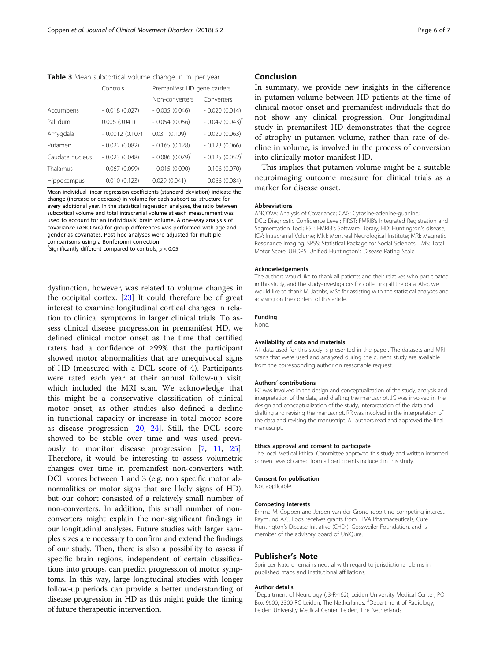<span id="page-5-0"></span>Table 3 Mean subcortical volume change in ml per year

|                 | Controls         | Premanifest HD gene carriers |                     |
|-----------------|------------------|------------------------------|---------------------|
|                 |                  | Non-converters               | Converters          |
| Accumbens       | $-0.018(0.027)$  | $-0.035(0.046)$              | $-0.020(0.014)$     |
| Pallidum        | 0.006(0.041)     | $-0.054(0.056)$              | $-0.049(0.043)^{*}$ |
| Amygdala        | $-0.0012(0.107)$ | 0.031(0.109)                 | $-0.020(0.063)$     |
| Putamen         | $-0.022(0.082)$  | $-0.165(0.128)$              | $-0.123(0.066)$     |
| Caudate nucleus | $-0.023(0.048)$  | $-0.086(0.079)^{*}$          | $-0.125(0.052)^{*}$ |
| Thalamus        | $-0.067(0.099)$  | $-0.015(0.090)$              | $-0.106(0.070)$     |
| Hippocampus     | $-0.010(0.123)$  | 0.029(0.041)                 | $-0.066(0.084)$     |

Mean individual linear regression coefficients (standard deviation) indicate the change (increase or decrease) in volume for each subcortical structure for every additional year. In the statistical regression analyses, the ratio between subcortical volume and total intracranial volume at each measurement was used to account for an individuals' brain volume. A one-way analysis of covariance (ANCOVA) for group differences was performed with age and gender as covariates. Post-hoc analyses were adjusted for multiple comparisons using a Bonferonni correction

 $*$ Significantly different compared to controls,  $p < 0.05$ 

dysfunction, however, was related to volume changes in the occipital cortex. [[23\]](#page-6-0) It could therefore be of great interest to examine longitudinal cortical changes in relation to clinical symptoms in larger clinical trials. To assess clinical disease progression in premanifest HD, we defined clinical motor onset as the time that certified raters had a confidence of ≥99% that the participant showed motor abnormalities that are unequivocal signs of HD (measured with a DCL score of 4). Participants were rated each year at their annual follow-up visit, which included the MRI scan. We acknowledge that this might be a conservative classification of clinical motor onset, as other studies also defined a decline in functional capacity or increase in total motor score as disease progression [\[20](#page-6-0), [24](#page-6-0)]. Still, the DCL score showed to be stable over time and was used previously to monitor disease progression [\[7](#page-6-0), [11](#page-6-0), [25](#page-6-0)]. Therefore, it would be interesting to assess volumetric changes over time in premanifest non-converters with DCL scores between 1 and 3 (e.g. non specific motor abnormalities or motor signs that are likely signs of HD), but our cohort consisted of a relatively small number of non-converters. In addition, this small number of nonconverters might explain the non-significant findings in our longitudinal analyses. Future studies with larger samples sizes are necessary to confirm and extend the findings of our study. Then, there is also a possibility to assess if specific brain regions, independent of certain classifications into groups, can predict progression of motor symptoms. In this way, large longitudinal studies with longer follow-up periods can provide a better understanding of disease progression in HD as this might guide the timing of future therapeutic intervention.

# Conclusion

In summary, we provide new insights in the difference in putamen volume between HD patients at the time of clinical motor onset and premanifest individuals that do not show any clinical progression. Our longitudinal study in premanifest HD demonstrates that the degree of atrophy in putamen volume, rather than rate of decline in volume, is involved in the process of conversion into clinically motor manifest HD.

This implies that putamen volume might be a suitable neuroimaging outcome measure for clinical trials as a marker for disease onset.

#### Abbreviations

ANCOVA: Analysis of Covariance; CAG: Cytosine-adenine-guanine; DCL: Diagnostic Confidence Level; FIRST: FMRIB's Integrated Registration and Segmentation Tool; FSL: FMRIB's Software Library; HD: Huntington's disease; ICV: Intracranial Volume; MNI: Montreal Neurological Institute; MRI: Magnetic Resonance Imaging; SPSS: Statistical Package for Social Sciences; TMS: Total Motor Score; UHDRS: Unified Huntington's Disease Rating Scale

#### Acknowledgements

The authors would like to thank all patients and their relatives who participated in this study, and the study-investigators for collecting all the data. Also, we would like to thank M. Jacobs, MSc for assisting with the statistical analyses and advising on the content of this article.

#### Funding

None.

#### Availability of data and materials

All data used for this study is presented in the paper. The datasets and MRI scans that were used and analyzed during the current study are available from the corresponding author on reasonable request.

#### Authors' contributions

EC was involved in the design and conceptualization of the study, analysis and interpretation of the data, and drafting the manuscript. JG was involved in the design and conceptualization of the study, interpretation of the data and drafting and revising the manuscript. RR was involved in the interpretation of the data and revising the manuscript. All authors read and approved the final manuscript.

#### Ethics approval and consent to participate

The local Medical Ethical Committee approved this study and written informed consent was obtained from all participants included in this study.

#### Consent for publication

Not applicable.

#### Competing interests

Emma M. Coppen and Jeroen van der Grond report no competing interest. Raymund A.C. Roos receives grants from TEVA Pharmaceuticals, Cure Huntington's Disease Initiative (CHDI), Gossweiler Foundation, and is member of the advisory board of UniQure.

## Publisher's Note

Springer Nature remains neutral with regard to jurisdictional claims in published maps and institutional affiliations.

#### Author details

<sup>1</sup>Department of Neurology (J3-R-162), Leiden University Medical Center, PC Box 9600, 2300 RC Leiden, The Netherlands. <sup>2</sup>Department of Radiology, Leiden University Medical Center, Leiden, The Netherlands.